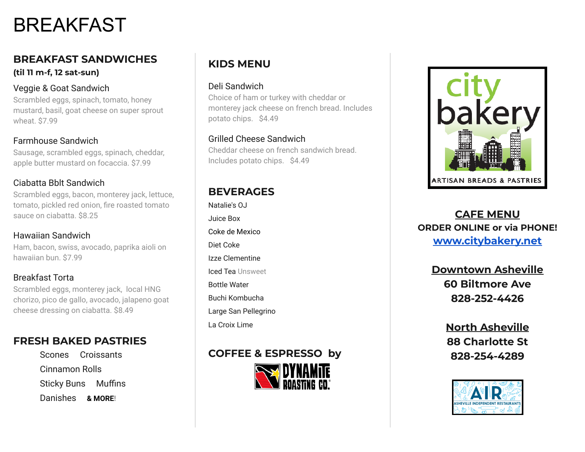# BREAKFAST

## **BREAKFAST SANDWICHES (til 11 m-f, 12 sat-sun)**

#### Veggie & Goat Sandwich

Scrambled eggs, spinach, tomato, honey mustard, basil, goat cheese on super sprout wheat. \$7.99

### Farmhouse Sandwich

Sausage, scrambled eggs, spinach, cheddar, apple butter mustard on focaccia. \$7.99

#### Ciabatta Bblt Sandwich

Scrambled eggs, bacon, monterey jack, lettuce, tomato, pickled red onion, fire roasted tomato sauce on ciabatta. \$8.25

## Hawaiian Sandwich

Ham, bacon, swiss, avocado, paprika aioli on hawaiian bun. \$7.99

# Breakfast Torta

Scrambled eggs, monterey jack, local HNG chorizo, pico de gallo, avocado, jalapeno goat cheese dressing on ciabatta. \$8.49

# **FRESH BAKED PASTRIES**

Scones Croissants Cinnamon Rolls Sticky Buns Muffins Danishes **& MORE!**

# **KIDS MENU**

#### Deli Sandwich

Choice of ham or turkey with cheddar or monterey jack cheese on french bread. Includes potato chips. \$4.49

#### Grilled Cheese Sandwich

Cheddar cheese on french sandwich bread. Includes potato chips. \$4.49

# **BEVERAGES**

Natalie's OJ Juice Box Coke de Mexico Diet Coke Izze Clementine Iced Tea Unsweet Bottle Water Buchi Kombucha Large San Pellegrino La Croix Lime

# **COFFEE & ESPRESSO by**





# **CAFE MENU ORDER ONLINE or via PHONE! [www.citybakery.net](http://www.citybakery.net)**

**Downtown Asheville 60 Biltmore Ave 828-252-4426**

> **North Asheville 88 Charlotte St 828-254-4289**